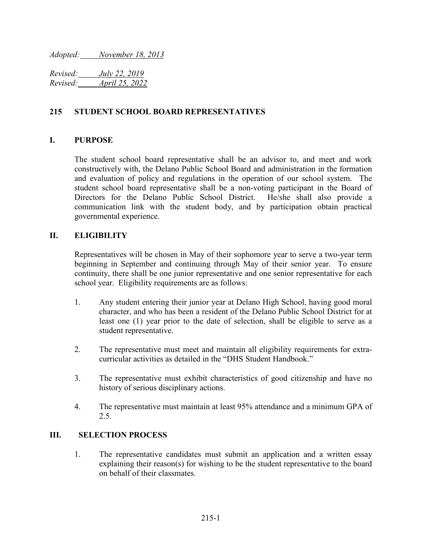*Adopted: November 18, 2013*

*Revised: July 22, 2019 Revised: April 25, 2022*

## **215 STUDENT SCHOOL BOARD REPRESENTATIVES**

### **I. PURPOSE**

The student school board representative shall be an advisor to, and meet and work constructively with, the Delano Public School Board and administration in the formation and evaluation of policy and regulations in the operation of our school system. The student school board representative shall be a non-voting participant in the Board of Directors for the Delano Public School District. He/she shall also provide a communication link with the student body, and by participation obtain practical governmental experience.

## **II. ELIGIBILITY**

Representatives will be chosen in May of their sophomore year to serve a two-year term beginning in September and continuing through May of their senior year. To ensure continuity, there shall be one junior representative and one senior representative for each school year. Eligibility requirements are as follows:

- 1. Any student entering their junior year at Delano High School, having good moral character, and who has been a resident of the Delano Public School District for at least one (1) year prior to the date of selection, shall be eligible to serve as a student representative.
- 2. The representative must meet and maintain all eligibility requirements for extracurricular activities as detailed in the "DHS Student Handbook."
- 3. The representative must exhibit characteristics of good citizenship and have no history of serious disciplinary actions.
- 4. The representative must maintain at least 95% attendance and a minimum GPA of 2.5.

### **III. SELECTION PROCESS**

1. The representative candidates must submit an application and a written essay explaining their reason(s) for wishing to be the student representative to the board on behalf of their classmates.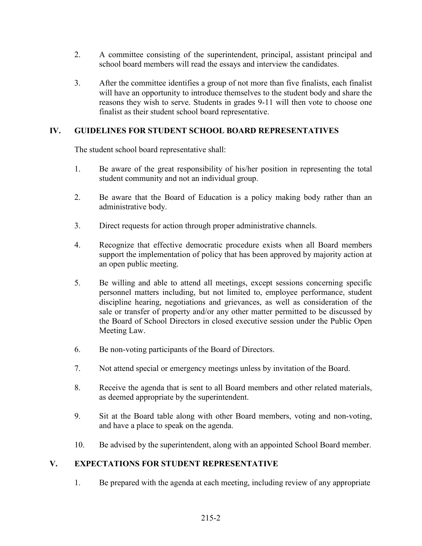- 2. A committee consisting of the superintendent, principal, assistant principal and school board members will read the essays and interview the candidates.
- 3. After the committee identifies a group of not more than five finalists, each finalist will have an opportunity to introduce themselves to the student body and share the reasons they wish to serve. Students in grades 9-11 will then vote to choose one finalist as their student school board representative.

# **IV. GUIDELINES FOR STUDENT SCHOOL BOARD REPRESENTATIVES**

The student school board representative shall:

- 1. Be aware of the great responsibility of his/her position in representing the total student community and not an individual group.
- 2. Be aware that the Board of Education is a policy making body rather than an administrative body.
- 3. Direct requests for action through proper administrative channels.
- 4. Recognize that effective democratic procedure exists when all Board members support the implementation of policy that has been approved by majority action at an open public meeting.
- 5. Be willing and able to attend all meetings, except sessions concerning specific personnel matters including, but not limited to, employee performance, student discipline hearing, negotiations and grievances, as well as consideration of the sale or transfer of property and/or any other matter permitted to be discussed by the Board of School Directors in closed executive session under the Public Open Meeting Law.
- 6. Be non-voting participants of the Board of Directors.
- 7. Not attend special or emergency meetings unless by invitation of the Board.
- 8. Receive the agenda that is sent to all Board members and other related materials, as deemed appropriate by the superintendent.
- 9. Sit at the Board table along with other Board members, voting and non-voting, and have a place to speak on the agenda.
- 10. Be advised by the superintendent, along with an appointed School Board member.

# **V. EXPECTATIONS FOR STUDENT REPRESENTATIVE**

1. Be prepared with the agenda at each meeting, including review of any appropriate